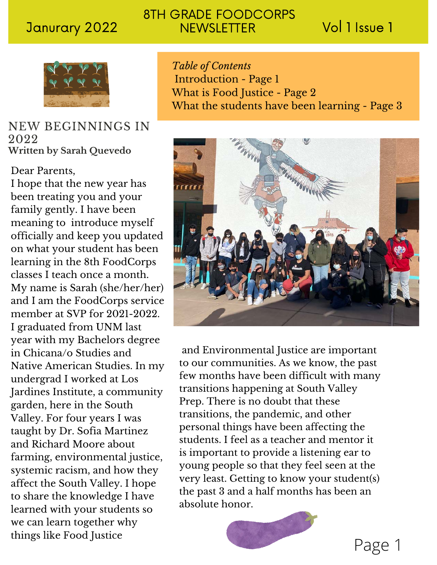# 8TH GRADE FOODCORPS Janurary 2022 NEWSLETTER Vol 1 Issue 1



# NEW BEGINNINGS IN 2022 **Written by Sarah Quevedo**

## Dear Parents,

I hope that the new year has been treating you and your family gently. I have been meaning to introduce myself officially and keep you updated on what your student has been learning in the 8th FoodCorps classes I teach once a month. My name is Sarah (she/her/her) and I am the FoodCorps service member at SVP for 2021-2022. I graduated from UNM last year with my Bachelors degree in Chicana/o Studies and Native American Studies. In my undergrad I worked at Los Jardines Institute, a community garden, here in the South Valley. For four years I was taught by Dr. Sofia Martinez and Richard Moore about farming, environmental justice, systemic racism, and how they affect the South Valley. I hope to share the knowledge I have learned with your students so we can learn together why things like Food Justice

*Table of Contents* Introduction - Page 1 What is Food Justice - Page 2 What the students have been learning - Page 3



and Environmental Justice are important to our communities. As we know, the past few months have been difficult with many transitions happening at South Valley Prep. There is no doubt that these transitions, the pandemic, and other personal things have been affecting the students. I feel as a teacher and mentor it is important to provide a listening ear to young people so that they feel seen at the very least. Getting to know your student(s) the past 3 and a half months has been an absolute honor.



Page 1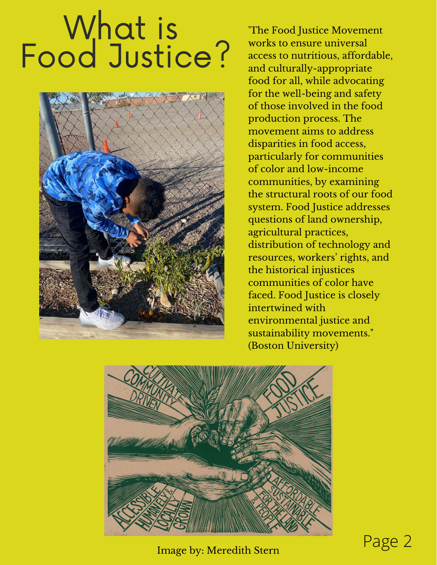# What is<br>Food Justice?



'The Food Justice Movement works to ensure universal access to nutritious, affordable, and culturally-appropriate food for all, while advocating for the well-being and safety of those involved in the food production process. The movement aims to address disparities in food access, particularly for communities of color and low-income communities, by examining the structural roots of our food system. Food Justice addresses questions of land ownership, agricultural practices, distribution of technology and resources, workers' rights, and the historical injustices communities of color have faced. Food Justice is closely intertwined with environmental justice and sustainability movements." (Boston University)